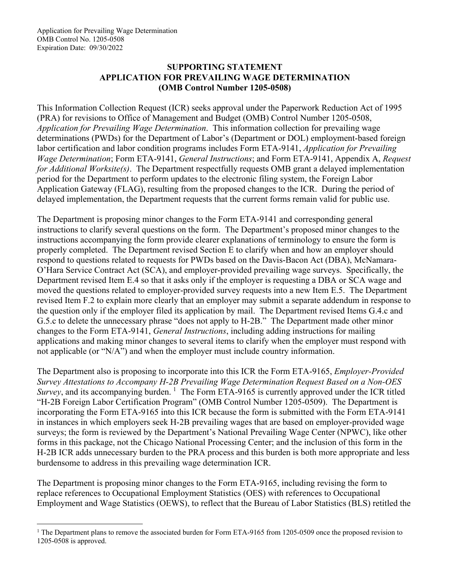### **SUPPORTING STATEMENT APPLICATION FOR PREVAILING WAGE DETERMINATION (OMB Control Number 1205-0508)**

This Information Collection Request (ICR) seeks approval under the Paperwork Reduction Act of 1995 (PRA) for revisions to Office of Management and Budget (OMB) Control Number 1205-0508, *Application for Prevailing Wage Determination*. This information collection for prevailing wage determinations (PWDs) for the Department of Labor's (Department or DOL) employment-based foreign labor certification and labor condition programs includes Form ETA-9141, *Application for Prevailing Wage Determination*; Form ETA-9141, *General Instructions*; and Form ETA-9141, Appendix A, *Request for Additional Worksite(s)*. The Department respectfully requests OMB grant a delayed implementation period for the Department to perform updates to the electronic filing system, the Foreign Labor Application Gateway (FLAG), resulting from the proposed changes to the ICR. During the period of delayed implementation, the Department requests that the current forms remain valid for public use.

The Department is proposing minor changes to the Form ETA-9141 and corresponding general instructions to clarify several questions on the form. The Department's proposed minor changes to the instructions accompanying the form provide clearer explanations of terminology to ensure the form is properly completed. The Department revised Section E to clarify when and how an employer should respond to questions related to requests for PWDs based on the Davis-Bacon Act (DBA), McNamara-O'Hara Service Contract Act (SCA), and employer-provided prevailing wage surveys. Specifically, the Department revised Item E.4 so that it asks only if the employer is requesting a DBA or SCA wage and moved the questions related to employer-provided survey requests into a new Item E.5. The Department revised Item F.2 to explain more clearly that an employer may submit a separate addendum in response to the question only if the employer filed its application by mail. The Department revised Items G.4.c and G.5.c to delete the unnecessary phrase "does not apply to H-2B." The Department made other minor changes to the Form ETA-9141, *General Instructions*, including adding instructions for mailing applications and making minor changes to several items to clarify when the employer must respond with not applicable (or "N/A") and when the employer must include country information.

The Department also is proposing to incorporate into this ICR the Form ETA-9165, *Employer-Provided Survey Attestations to Accompany H-2B Prevailing Wage Determination Request Based on a Non-OES*  Survey, and its accompanying burden. <sup>[1](#page-0-0)</sup> The Form ETA-9165 is currently approved under the ICR titled "H-2B Foreign Labor Certification Program" (OMB Control Number 1205-0509). The Department is incorporating the Form ETA-9165 into this ICR because the form is submitted with the Form ETA-9141 in instances in which employers seek H-2B prevailing wages that are based on employer-provided wage surveys; the form is reviewed by the Department's National Prevailing Wage Center (NPWC), like other forms in this package, not the Chicago National Processing Center; and the inclusion of this form in the H-2B ICR adds unnecessary burden to the PRA process and this burden is both more appropriate and less burdensome to address in this prevailing wage determination ICR.

The Department is proposing minor changes to the Form ETA-9165, including revising the form to replace references to Occupational Employment Statistics (OES) with references to Occupational Employment and Wage Statistics (OEWS), to reflect that the Bureau of Labor Statistics (BLS) retitled the

<span id="page-0-0"></span><sup>&</sup>lt;sup>1</sup> The Department plans to remove the associated burden for Form ETA-9165 from 1205-0509 once the proposed revision to 1205-0508 is approved.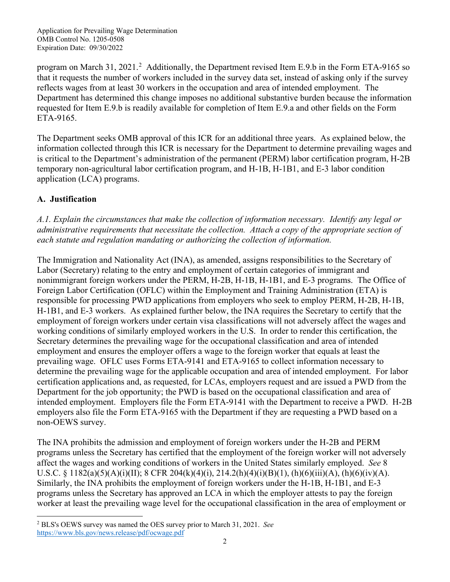program on March 31, [2](#page-1-0)021.<sup>2</sup> Additionally, the Department revised Item E.9.b in the Form ETA-9165 so that it requests the number of workers included in the survey data set, instead of asking only if the survey reflects wages from at least 30 workers in the occupation and area of intended employment. The Department has determined this change imposes no additional substantive burden because the information requested for Item E.9.b is readily available for completion of Item E.9.a and other fields on the Form ETA-9165.

The Department seeks OMB approval of this ICR for an additional three years. As explained below, the information collected through this ICR is necessary for the Department to determine prevailing wages and is critical to the Department's administration of the permanent (PERM) labor certification program, H-2B temporary non-agricultural labor certification program, and H-1B, H-1B1, and E-3 labor condition application (LCA) programs.

## **A. Justification**

*A.1. Explain the circumstances that make the collection of information necessary. Identify any legal or administrative requirements that necessitate the collection. Attach a copy of the appropriate section of each statute and regulation mandating or authorizing the collection of information.*

The Immigration and Nationality Act (INA), as amended, assigns responsibilities to the Secretary of Labor (Secretary) relating to the entry and employment of certain categories of immigrant and nonimmigrant foreign workers under the PERM, H-2B, H-1B, H-1B1, and E-3 programs. The Office of Foreign Labor Certification (OFLC) within the Employment and Training Administration (ETA) is responsible for processing PWD applications from employers who seek to employ PERM, H-2B, H-1B, H-1B1, and E-3 workers. As explained further below, the INA requires the Secretary to certify that the employment of foreign workers under certain visa classifications will not adversely affect the wages and working conditions of similarly employed workers in the U.S. In order to render this certification, the Secretary determines the prevailing wage for the occupational classification and area of intended employment and ensures the employer offers a wage to the foreign worker that equals at least the prevailing wage. OFLC uses Forms ETA-9141 and ETA-9165 to collect information necessary to determine the prevailing wage for the applicable occupation and area of intended employment. For labor certification applications and, as requested, for LCAs, employers request and are issued a PWD from the Department for the job opportunity; the PWD is based on the occupational classification and area of intended employment. Employers file the Form ETA-9141 with the Department to receive a PWD. H-2B employers also file the Form ETA-9165 with the Department if they are requesting a PWD based on a non-OEWS survey.

The INA prohibits the admission and employment of foreign workers under the H-2B and PERM programs unless the Secretary has certified that the employment of the foreign worker will not adversely affect the wages and working conditions of workers in the United States similarly employed. *See* 8 U.S.C. § 1182(a)(5)(A)(i)(II); 8 CFR 204(k)(4)(i), 214.2(h)(4)(i)(B)(1), (h)(6)(iii)(A), (h)(6)(iv)(A). Similarly, the INA prohibits the employment of foreign workers under the H-1B, H-1B1, and E-3 programs unless the Secretary has approved an LCA in which the employer attests to pay the foreign worker at least the prevailing wage level for the occupational classification in the area of employment or

<span id="page-1-0"></span><sup>2</sup> BLS's OEWS survey was named the OES survey prior to March 31, 2021. *See* <https://www.bls.gov/news.release/pdf/ocwage.pdf>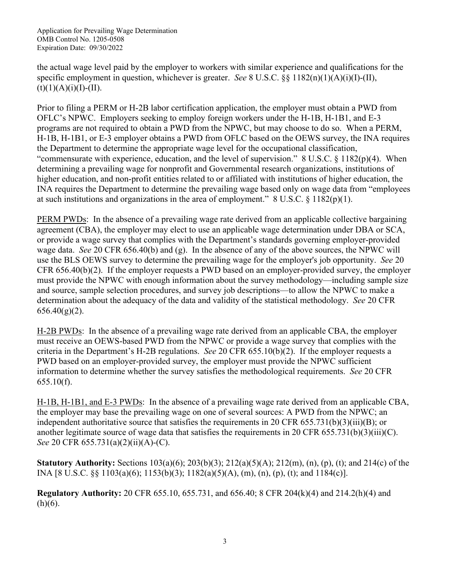the actual wage level paid by the employer to workers with similar experience and qualifications for the specific employment in question, whichever is greater. *See* 8 U.S.C. §§ 1182(n)(1)(A)(i)(I)-(II),  $(t)(1)(A)(i)(I)-(II).$ 

Prior to filing a PERM or H-2B labor certification application, the employer must obtain a PWD from OFLC's NPWC. Employers seeking to employ foreign workers under the H-1B, H-1B1, and E-3 programs are not required to obtain a PWD from the NPWC, but may choose to do so. When a PERM, H-1B, H-1B1, or E-3 employer obtains a PWD from OFLC based on the OEWS survey, the INA requires the Department to determine the appropriate wage level for the occupational classification, "commensurate with experience, education, and the level of supervision." 8 U.S.C. § 1182(p)(4). When determining a prevailing wage for nonprofit and Governmental research organizations, institutions of higher education, and non-profit entities related to or affiliated with institutions of higher education, the INA requires the Department to determine the prevailing wage based only on wage data from "employees at such institutions and organizations in the area of employment."  $8 \text{ U.S.C.} \frac{8}{3} \frac{1182(p)(1)}{1}$ .

PERM PWDs: In the absence of a prevailing wage rate derived from an applicable collective bargaining agreement (CBA), the employer may elect to use an applicable wage determination under DBA or SCA, or provide a wage survey that complies with the Department's standards governing employer-provided wage data. *See* 20 CFR 656.40(b) and (g). In the absence of any of the above sources, the NPWC will use the BLS OEWS survey to determine the prevailing wage for the employer's job opportunity. *See* 20 CFR 656.40(b)(2). If the employer requests a PWD based on an employer-provided survey, the employer must provide the NPWC with enough information about the survey methodology—including sample size and source, sample selection procedures, and survey job descriptions—to allow the NPWC to make a determination about the adequacy of the data and validity of the statistical methodology. *See* 20 CFR  $656.40(g)(2)$ .

H-2B PWDs: In the absence of a prevailing wage rate derived from an applicable CBA, the employer must receive an OEWS-based PWD from the NPWC or provide a wage survey that complies with the criteria in the Department's H-2B regulations. *See* 20 CFR 655.10(b)(2). If the employer requests a PWD based on an employer-provided survey, the employer must provide the NPWC sufficient information to determine whether the survey satisfies the methodological requirements. *See* 20 CFR 655.10(f).

H-1B, H-1B1, and E-3 PWDs: In the absence of a prevailing wage rate derived from an applicable CBA, the employer may base the prevailing wage on one of several sources: A PWD from the NPWC; an independent authoritative source that satisfies the requirements in 20 CFR  $655.731(b)(3)(iii)(B)$ ; or another legitimate source of wage data that satisfies the requirements in 20 CFR 655.731(b)(3)(iii)(C). *See* 20 CFR 655.731(a)(2)(ii)(A)-(C).

**Statutory Authority:** Sections 103(a)(6); 203(b)(3); 212(a)(5)(A); 212(m), (n), (p), (t); and 214(c) of the INA [8 U.S.C. §§ 1103(a)(6); 1153(b)(3); 1182(a)(5)(A), (m), (n), (p), (t); and 1184(c)].

**Regulatory Authority:** 20 CFR 655.10, 655.731, and 656.40; 8 CFR 204(k)(4) and 214.2(h)(4) and  $(h)(6)$ .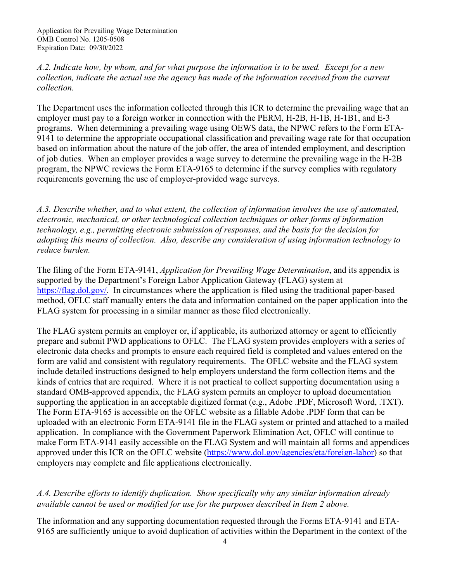*A.2. Indicate how, by whom, and for what purpose the information is to be used. Except for a new collection, indicate the actual use the agency has made of the information received from the current collection.*

The Department uses the information collected through this ICR to determine the prevailing wage that an employer must pay to a foreign worker in connection with the PERM, H-2B, H-1B, H-1B1, and E-3 programs. When determining a prevailing wage using OEWS data, the NPWC refers to the Form ETA-9141 to determine the appropriate occupational classification and prevailing wage rate for that occupation based on information about the nature of the job offer, the area of intended employment, and description of job duties. When an employer provides a wage survey to determine the prevailing wage in the H-2B program, the NPWC reviews the Form ETA-9165 to determine if the survey complies with regulatory requirements governing the use of employer-provided wage surveys.

*A.3. Describe whether, and to what extent, the collection of information involves the use of automated, electronic, mechanical, or other technological collection techniques or other forms of information technology, e.g., permitting electronic submission of responses, and the basis for the decision for adopting this means of collection. Also, describe any consideration of using information technology to reduce burden.*

The filing of the Form ETA-9141, *Application for Prevailing Wage Determination*, and its appendix is supported by the Department's Foreign Labor Application Gateway (FLAG) system at [https://flag.dol.gov/.](https://flag.dol.gov/) In circumstances where the application is filed using the traditional paper-based method, OFLC staff manually enters the data and information contained on the paper application into the FLAG system for processing in a similar manner as those filed electronically.

The FLAG system permits an employer or, if applicable, its authorized attorney or agent to efficiently prepare and submit PWD applications to OFLC. The FLAG system provides employers with a series of electronic data checks and prompts to ensure each required field is completed and values entered on the form are valid and consistent with regulatory requirements. The OFLC website and the FLAG system include detailed instructions designed to help employers understand the form collection items and the kinds of entries that are required. Where it is not practical to collect supporting documentation using a standard OMB-approved appendix, the FLAG system permits an employer to upload documentation supporting the application in an acceptable digitized format (e.g., Adobe .PDF, Microsoft Word, .TXT). The Form ETA-9165 is accessible on the OFLC website as a fillable Adobe .PDF form that can be uploaded with an electronic Form ETA-9141 file in the FLAG system or printed and attached to a mailed application. In compliance with the Government Paperwork Elimination Act, OFLC will continue to make Form ETA-9141 easily accessible on the FLAG System and will maintain all forms and appendices approved under this ICR on the OFLC website [\(https://www.dol.gov/agencies/eta/foreign-labor\)](https://www.dol.gov/agencies/eta/foreign-labor) so that employers may complete and file applications electronically.

# *A.4. Describe efforts to identify duplication. Show specifically why any similar information already available cannot be used or modified for use for the purposes described in Item 2 above.*

The information and any supporting documentation requested through the Forms ETA-9141 and ETA-9165 are sufficiently unique to avoid duplication of activities within the Department in the context of the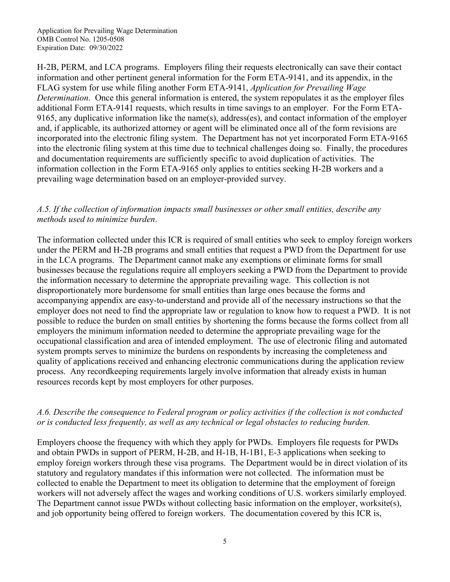H-2B, PERM, and LCA programs. Employers filing their requests electronically can save their contact information and other pertinent general information for the Form ETA-9141, and its appendix, in the FLAG system for use while filing another Form ETA-9141, *Application for Prevailing Wage Determination*. Once this general information is entered, the system repopulates it as the employer files additional Form ETA-9141 requests, which results in time savings to an employer. For the Form ETA-9165, any duplicative information like the name(s), address(es), and contact information of the employer and, if applicable, its authorized attorney or agent will be eliminated once all of the form revisions are incorporated into the electronic filing system. The Department has not yet incorporated Form ETA-9165 into the electronic filing system at this time due to technical challenges doing so. Finally, the procedures and documentation requirements are sufficiently specific to avoid duplication of activities. The information collection in the Form ETA-9165 only applies to entities seeking H-2B workers and a prevailing wage determination based on an employer-provided survey.

#### *A.5. If the collection of information impacts small businesses or other small entities, describe any methods used to minimize burden*.

The information collected under this ICR is required of small entities who seek to employ foreign workers under the PERM and H-2B programs and small entities that request a PWD from the Department for use in the LCA programs. The Department cannot make any exemptions or eliminate forms for small businesses because the regulations require all employers seeking a PWD from the Department to provide the information necessary to determine the appropriate prevailing wage. This collection is not disproportionately more burdensome for small entities than large ones because the forms and accompanying appendix are easy-to-understand and provide all of the necessary instructions so that the employer does not need to find the appropriate law or regulation to know how to request a PWD. It is not possible to reduce the burden on small entities by shortening the forms because the forms collect from all employers the minimum information needed to determine the appropriate prevailing wage for the occupational classification and area of intended employment. The use of electronic filing and automated system prompts serves to minimize the burdens on respondents by increasing the completeness and quality of applications received and enhancing electronic communications during the application review process. Any recordkeeping requirements largely involve information that already exists in human resources records kept by most employers for other purposes.

### *A.6. Describe the consequence to Federal program or policy activities if the collection is not conducted or is conducted less frequently, as well as any technical or legal obstacles to reducing burden.*

Employers choose the frequency with which they apply for PWDs. Employers file requests for PWDs and obtain PWDs in support of PERM, H-2B, and H-1B, H-1B1, E-3 applications when seeking to employ foreign workers through these visa programs. The Department would be in direct violation of its statutory and regulatory mandates if this information were not collected. The information must be collected to enable the Department to meet its obligation to determine that the employment of foreign workers will not adversely affect the wages and working conditions of U.S. workers similarly employed. The Department cannot issue PWDs without collecting basic information on the employer, worksite(s), and job opportunity being offered to foreign workers. The documentation covered by this ICR is,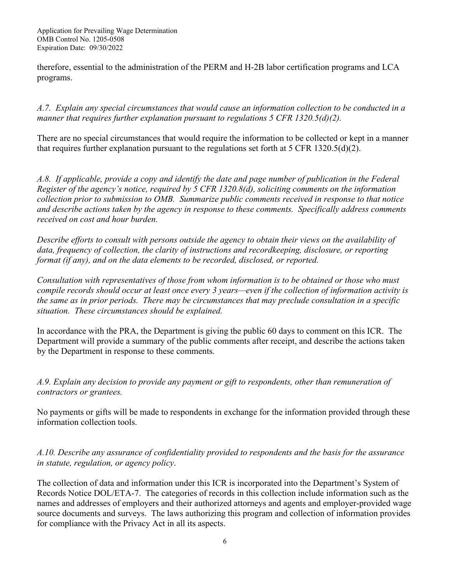therefore, essential to the administration of the PERM and H-2B labor certification programs and LCA programs.

*A.7. Explain any special circumstances that would cause an information collection to be conducted in a manner that requires further explanation pursuant to regulations 5 CFR 1320.5(d)(2).*

There are no special circumstances that would require the information to be collected or kept in a manner that requires further explanation pursuant to the regulations set forth at 5 CFR 1320.5(d)(2).

*A.8. If applicable, provide a copy and identify the date and page number of publication in the Federal Register of the agency's notice, required by 5 CFR 1320.8(d), soliciting comments on the information collection prior to submission to OMB. Summarize public comments received in response to that notice and describe actions taken by the agency in response to these comments. Specifically address comments received on cost and hour burden.* 

*Describe efforts to consult with persons outside the agency to obtain their views on the availability of data, frequency of collection, the clarity of instructions and recordkeeping, disclosure, or reporting format (if any), and on the data elements to be recorded, disclosed, or reported.*

*Consultation with representatives of those from whom information is to be obtained or those who must compile records should occur at least once every 3 years—even if the collection of information activity is the same as in prior periods. There may be circumstances that may preclude consultation in a specific situation. These circumstances should be explained.*

In accordance with the PRA, the Department is giving the public 60 days to comment on this ICR. The Department will provide a summary of the public comments after receipt, and describe the actions taken by the Department in response to these comments.

*A.9. Explain any decision to provide any payment or gift to respondents, other than remuneration of contractors or grantees.*

No payments or gifts will be made to respondents in exchange for the information provided through these information collection tools.

*A.10. Describe any assurance of confidentiality provided to respondents and the basis for the assurance in statute, regulation, or agency policy*.

The collection of data and information under this ICR is incorporated into the Department's System of Records Notice DOL/ETA-7. The categories of records in this collection include information such as the names and addresses of employers and their authorized attorneys and agents and employer-provided wage source documents and surveys. The laws authorizing this program and collection of information provides for compliance with the Privacy Act in all its aspects.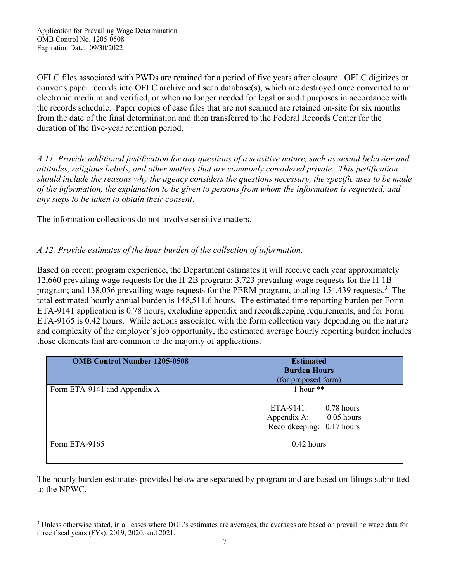OFLC files associated with PWDs are retained for a period of five years after closure. OFLC digitizes or converts paper records into OFLC archive and scan database(s), which are destroyed once converted to an electronic medium and verified, or when no longer needed for legal or audit purposes in accordance with the records schedule. Paper copies of case files that are not scanned are retained on-site for six months from the date of the final determination and then transferred to the Federal Records Center for the duration of the five-year retention period.

*A.11. Provide additional justification for any questions of a sensitive nature, such as sexual behavior and attitudes, religious beliefs, and other matters that are commonly considered private. This justification should include the reasons why the agency considers the questions necessary, the specific uses to be made of the information, the explanation to be given to persons from whom the information is requested, and any steps to be taken to obtain their consent*.

The information collections do not involve sensitive matters.

## *A.12. Provide estimates of the hour burden of the collection of information*.

Based on recent program experience, the Department estimates it will receive each year approximately 12,660 prevailing wage requests for the H-2B program; 3,723 prevailing wage requests for the H-1B program; and 1[3](#page-6-0)8,056 prevailing wage requests for the PERM program, totaling 154,439 requests.<sup>3</sup> The total estimated hourly annual burden is 148,511.6 hours. The estimated time reporting burden per Form ETA-9141 application is 0.78 hours, excluding appendix and recordkeeping requirements, and for Form ETA-9165 is 0.42 hours. While actions associated with the form collection vary depending on the nature and complexity of the employer's job opportunity, the estimated average hourly reporting burden includes those elements that are common to the majority of applications.

| <b>OMB Control Number 1205-0508</b> | <b>Estimated</b><br><b>Burden Hours</b><br>(for proposed form)                                  |  |  |  |
|-------------------------------------|-------------------------------------------------------------------------------------------------|--|--|--|
| Form ETA-9141 and Appendix A        | 1 hour $**$<br>ETA-9141:<br>$0.78$ hours<br>Appendix A: 0.05 hours<br>Recordkeeping: 0.17 hours |  |  |  |
| Form ETA-9165                       | $0.42$ hours                                                                                    |  |  |  |

The hourly burden estimates provided below are separated by program and are based on filings submitted to the NPWC.

<span id="page-6-0"></span><sup>3</sup> Unless otherwise stated, in all cases where DOL's estimates are averages, the averages are based on prevailing wage data for three fiscal years (FYs): 2019, 2020, and 2021.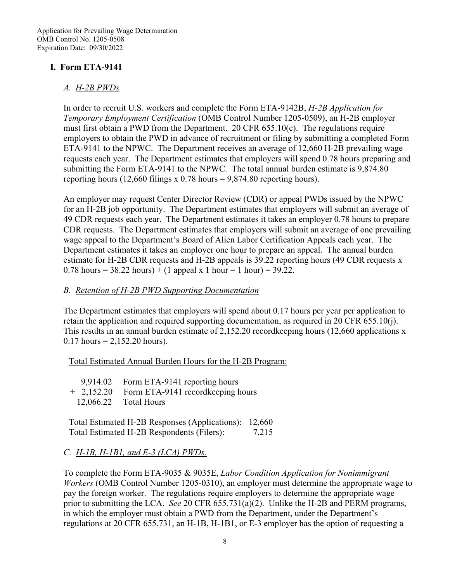### **I. Form ETA-9141**

#### *A. H-2B PWDs*

In order to recruit U.S. workers and complete the Form ETA-9142B, *H-2B Application for Temporary Employment Certification* (OMB Control Number 1205-0509), an H-2B employer must first obtain a PWD from the Department. 20 CFR 655.10(c). The regulations require employers to obtain the PWD in advance of recruitment or filing by submitting a completed Form ETA-9141 to the NPWC. The Department receives an average of 12,660 H-2B prevailing wage requests each year. The Department estimates that employers will spend 0.78 hours preparing and submitting the Form ETA-9141 to the NPWC. The total annual burden estimate is 9,874.80 reporting hours (12,660 filings x 0.78 hours =  $9,874.80$  reporting hours).

An employer may request Center Director Review (CDR) or appeal PWDs issued by the NPWC for an H-2B job opportunity. The Department estimates that employers will submit an average of 49 CDR requests each year. The Department estimates it takes an employer 0.78 hours to prepare CDR requests. The Department estimates that employers will submit an average of one prevailing wage appeal to the Department's Board of Alien Labor Certification Appeals each year. The Department estimates it takes an employer one hour to prepare an appeal. The annual burden estimate for H-2B CDR requests and H-2B appeals is 39.22 reporting hours (49 CDR requests x 0.78 hours =  $38.22$  hours) + (1 appeal x 1 hour = 1 hour) =  $39.22$ .

### *B. Retention of H-2B PWD Supporting Documentation*

The Department estimates that employers will spend about 0.17 hours per year per application to retain the application and required supporting documentation, as required in 20 CFR 655.10(j). This results in an annual burden estimate of 2,152.20 recordkeeping hours (12,660 applications x  $0.17$  hours = 2,152.20 hours).

Total Estimated Annual Burden Hours for the H-2B Program:

| 9,914.02 Form ETA-9141 reporting hours        |
|-----------------------------------------------|
| + 2,152.20 Form ETA-9141 record keeping hours |
| $12,066.22$ Total Hours                       |

Total Estimated H-2B Responses (Applications): 12,660 Total Estimated H-2B Respondents (Filers): 7,215

### *C. H-1B, H-1B1, and E-3 (LCA) PWDs.*

To complete the Form ETA-9035 & 9035E, *Labor Condition Application for Nonimmigrant Workers* (OMB Control Number 1205-0310), an employer must determine the appropriate wage to pay the foreign worker. The regulations require employers to determine the appropriate wage prior to submitting the LCA. *See* 20 CFR 655.731(a)(2). Unlike the H-2B and PERM programs, in which the employer must obtain a PWD from the Department, under the Department's regulations at 20 CFR 655.731, an H-1B, H-1B1, or E-3 employer has the option of requesting a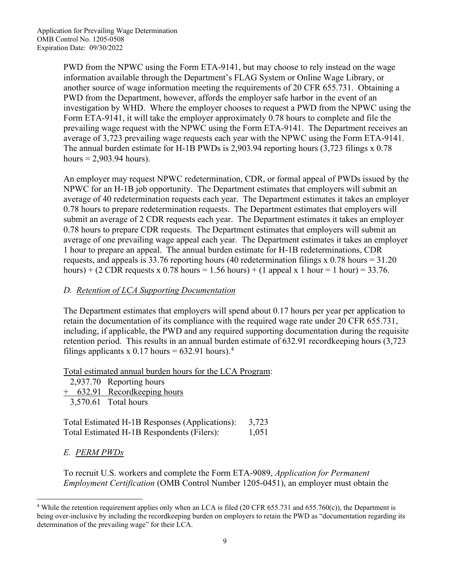PWD from the NPWC using the Form ETA-9141, but may choose to rely instead on the wage information available through the Department's FLAG System or Online Wage Library, or another source of wage information meeting the requirements of 20 CFR 655.731. Obtaining a PWD from the Department, however, affords the employer safe harbor in the event of an investigation by WHD. Where the employer chooses to request a PWD from the NPWC using the Form ETA-9141, it will take the employer approximately 0.78 hours to complete and file the prevailing wage request with the NPWC using the Form ETA-9141. The Department receives an average of 3,723 prevailing wage requests each year with the NPWC using the Form ETA-9141. The annual burden estimate for H-1B PWDs is 2,903.94 reporting hours (3,723 filings x 0.78 hours  $= 2,903.94$  hours).

An employer may request NPWC redetermination, CDR, or formal appeal of PWDs issued by the NPWC for an H-1B job opportunity. The Department estimates that employers will submit an average of 40 redetermination requests each year. The Department estimates it takes an employer 0.78 hours to prepare redetermination requests. The Department estimates that employers will submit an average of 2 CDR requests each year. The Department estimates it takes an employer 0.78 hours to prepare CDR requests. The Department estimates that employers will submit an average of one prevailing wage appeal each year. The Department estimates it takes an employer 1 hour to prepare an appeal. The annual burden estimate for H-1B redeterminations, CDR requests, and appeals is 33.76 reporting hours (40 redetermination filings x 0.78 hours = 31.20 hours) + (2 CDR requests x 0.78 hours = 1.56 hours) + (1 appeal x 1 hour = 1 hour) = 33.76.

### *D. Retention of LCA Supporting Documentation*

The Department estimates that employers will spend about 0.17 hours per year per application to retain the documentation of its compliance with the required wage rate under 20 CFR 655.731, including, if applicable, the PWD and any required supporting documentation during the requisite retention period. This results in an annual burden estimate of 632.91 recordkeeping hours (3,723 filings applicants x 0.17 hours =  $632.91$  hours).<sup>[4](#page-8-0)</sup>

Total estimated annual burden hours for the LCA Program:

- 2,937.70 Reporting hours
- + 632.91 Recordkeeping hours
- 3,570.61 Total hours

Total Estimated H-1B Responses (Applications): 3,723 Total Estimated H-1B Respondents (Filers): 1,051

*E. PERM PWDs* 

To recruit U.S. workers and complete the Form ETA-9089, *Application for Permanent Employment Certification* (OMB Control Number 1205-0451), an employer must obtain the

<span id="page-8-0"></span><sup>&</sup>lt;sup>4</sup> While the retention requirement applies only when an LCA is filed (20 CFR 655.731 and 655.760(c)), the Department is being over-inclusive by including the recordkeeping burden on employers to retain the PWD as "documentation regarding its determination of the prevailing wage" for their LCA.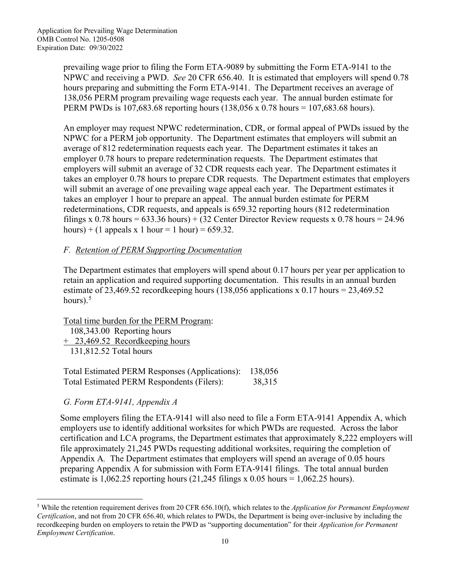prevailing wage prior to filing the Form ETA-9089 by submitting the Form ETA-9141 to the NPWC and receiving a PWD. *See* 20 CFR 656.40. It is estimated that employers will spend 0.78 hours preparing and submitting the Form ETA-9141. The Department receives an average of 138,056 PERM program prevailing wage requests each year. The annual burden estimate for PERM PWDs is 107,683.68 reporting hours (138,056 x 0.78 hours = 107,683.68 hours).

An employer may request NPWC redetermination, CDR, or formal appeal of PWDs issued by the NPWC for a PERM job opportunity. The Department estimates that employers will submit an average of 812 redetermination requests each year. The Department estimates it takes an employer 0.78 hours to prepare redetermination requests. The Department estimates that employers will submit an average of 32 CDR requests each year. The Department estimates it takes an employer 0.78 hours to prepare CDR requests. The Department estimates that employers will submit an average of one prevailing wage appeal each year. The Department estimates it takes an employer 1 hour to prepare an appeal. The annual burden estimate for PERM redeterminations, CDR requests, and appeals is 659.32 reporting hours (812 redetermination filings x 0.78 hours =  $633.36$  hours) +  $(32$  Center Director Review requests x 0.78 hours =  $24.96$ hours) + (1 appeals x 1 hour = 1 hour) =  $659.32$ .

# *F. Retention of PERM Supporting Documentation*

The Department estimates that employers will spend about 0.17 hours per year per application to retain an application and required supporting documentation. This results in an annual burden estimate of 23,469.52 recordkeeping hours (138,056 applications x 0.17 hours = 23,469.52 hours). $5$ 

Total time burden for the PERM Program:

 108,343.00 Reporting hours + 23,469.52 Recordkeeping hours 131,812.52 Total hours

Total Estimated PERM Responses (Applications): 138,056 Total Estimated PERM Respondents (Filers): 38,315

*G. Form ETA-9141, Appendix A*

Some employers filing the ETA-9141 will also need to file a Form ETA-9141 Appendix A, which employers use to identify additional worksites for which PWDs are requested. Across the labor certification and LCA programs, the Department estimates that approximately 8,222 employers will file approximately 21,245 PWDs requesting additional worksites, requiring the completion of Appendix A*.* The Department estimates that employers will spend an average of 0.05 hours preparing Appendix A for submission with Form ETA-9141 filings. The total annual burden estimate is  $1,062.25$  reporting hours  $(21,245$  filings x  $0.05$  hours =  $1,062.25$  hours).

<span id="page-9-0"></span><sup>5</sup> While the retention requirement derives from 20 CFR 656.10(f), which relates to the *Application for Permanent Employment Certification*, and not from 20 CFR 656.40, which relates to PWDs, the Department is being over-inclusive by including the recordkeeping burden on employers to retain the PWD as "supporting documentation" for their *Application for Permanent Employment Certification*.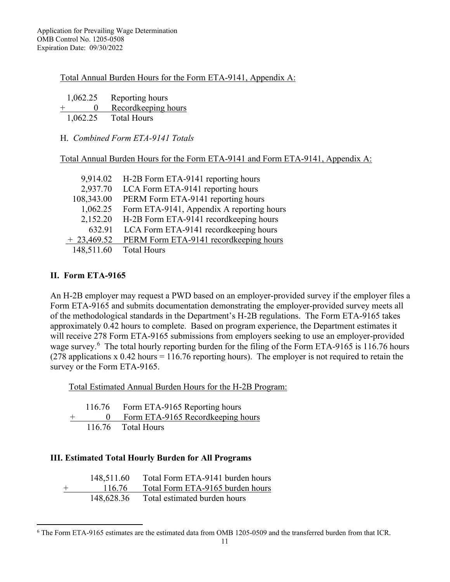#### Total Annual Burden Hours for the Form ETA-9141, Appendix A:

| 1,062.25             | Reporting hours     |
|----------------------|---------------------|
| $^+$<br>$\mathbf{0}$ | Recordkeeping hours |
| 1,062.25             | <b>Total Hours</b>  |

#### H. *Combined Form ETA-9141 Totals*

Total Annual Burden Hours for the Form ETA-9141 and Form ETA-9141, Appendix A:

| 9,914.02     | H-2B Form ETA-9141 reporting hours        |
|--------------|-------------------------------------------|
| 2,937.70     | LCA Form ETA-9141 reporting hours         |
| 108,343.00   | PERM Form ETA-9141 reporting hours        |
| 1,062.25     | Form ETA-9141, Appendix A reporting hours |
| 2,152.20     | H-2B Form ETA-9141 recordkeeping hours    |
| 632.91       | LCA Form ETA-9141 recordkeeping hours     |
| $+23,469.52$ | PERM Form ETA-9141 record keeping hours   |
| 148,511.60   | <b>Total Hours</b>                        |

### **II. Form ETA-9165**

An H-2B employer may request a PWD based on an employer-provided survey if the employer files a Form ETA-9165 and submits documentation demonstrating the employer-provided survey meets all of the methodological standards in the Department's H-2B regulations. The Form ETA-9165 takes approximately 0.42 hours to complete. Based on program experience, the Department estimates it will receive 278 Form ETA-9165 submissions from employers seeking to use an employer-provided wage survey.<sup>[6](#page-10-0)</sup> The total hourly reporting burden for the filing of the Form ETA-9165 is 116.76 hours (278 applications x 0.42 hours = 116.76 reporting hours). The employer is not required to retain the survey or the Form ETA-9165.

Total Estimated Annual Burden Hours for the H-2B Program:

 116.76 Form ETA-9165 Reporting hours + 0 Form ETA-9165 Recordkeeping hours<br>116.76 Total Hours Total Hours

### **III. Estimated Total Hourly Burden for All Programs**

|        | 148,511.60 | Total Form ETA-9141 burden hours |
|--------|------------|----------------------------------|
| $^{+}$ | 116.76     | Total Form ETA-9165 burden hours |
|        | 148,628.36 | Total estimated burden hours     |

<span id="page-10-0"></span><sup>6</sup> The Form ETA-9165 estimates are the estimated data from OMB 1205-0509 and the transferred burden from that ICR.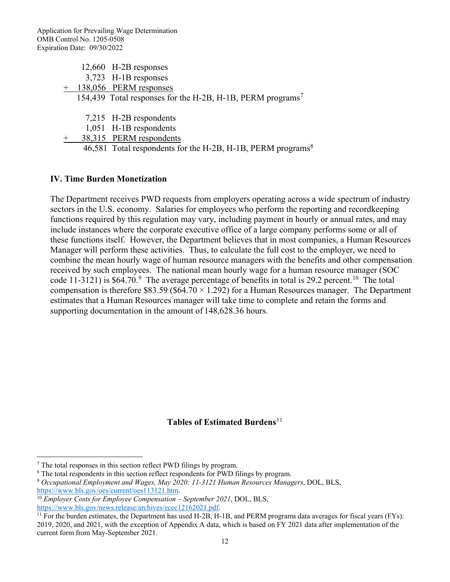|  | $12,660$ H-2B responses                                                |
|--|------------------------------------------------------------------------|
|  | $3,723$ H-1B responses                                                 |
|  | + 138,056 PERM responses                                               |
|  | 154,439 Total responses for the H-2B, H-1B, PERM programs <sup>7</sup> |
|  |                                                                        |

7,215 H-2B respondents

1,051 H-1B respondents

38,315 PERM respondents

46,5[8](#page-11-1)1 Total respondents for the H-2B, H-1B, PERM programs<sup>8</sup>

#### **IV. Time Burden Monetization**

The Department receives PWD requests from employers operating across a wide spectrum of industry sectors in the U.S. economy. Salaries for employees who perform the reporting and recordkeeping functions required by this regulation may vary, including payment in hourly or annual rates, and may include instances where the corporate executive office of a large company performs some or all of these functions itself. However, the Department believes that in most companies, a Human Resources Manager will perform these activities. Thus, to calculate the full cost to the employer, we need to combine the mean hourly wage of human resource managers with the benefits and other compensation received by such employees. The national mean hourly wage for a human resource manager (SOC code 11-3121) is \$64.70.<sup>[9](#page-11-2)</sup> The average percentage of benefits in total is 29.2 percent.<sup>10</sup> The total compensation is therefore \$83.59 (\$64.70  $\times$  1.292) for a Human Resources manager. The Department estimates that a Human Resources manager will take time to complete and retain the forms and supporting documentation in the amount of 148,628.36 hours.

### **Tables of Estimated Burdens**<sup>[11](#page-11-4)</sup>

<span id="page-11-1"></span><span id="page-11-0"></span><sup>&</sup>lt;sup>7</sup> The total responses in this section reflect PWD filings by program.<br><sup>8</sup> The total respondents in this section reflect respondents for PWD filings by program.<br><sup>9</sup> Occupational Employment and Wages, May 2020: 11-3121 Hum

<span id="page-11-3"></span><span id="page-11-2"></span>[https://www.bls.gov/oes/current/oes113121.htm.](https://www.bls.gov/oes/current/oes113121.htm)<br><sup>10</sup> *Employer Costs for Employee Compensation – September 2021*, DOL, BLS,<br>https://www.bls.gov/news.release/archives/ecec12162021.pdf.

<span id="page-11-4"></span> $\frac{11}{11}$  For the burden estimates, the Department has used H-2B, H-1B, and PERM programs data averages for fiscal years (FYs): 2019, 2020, and 2021, with the exception of Appendix A data, which is based on FY 2021 data after implementation of the current form from May-September 2021.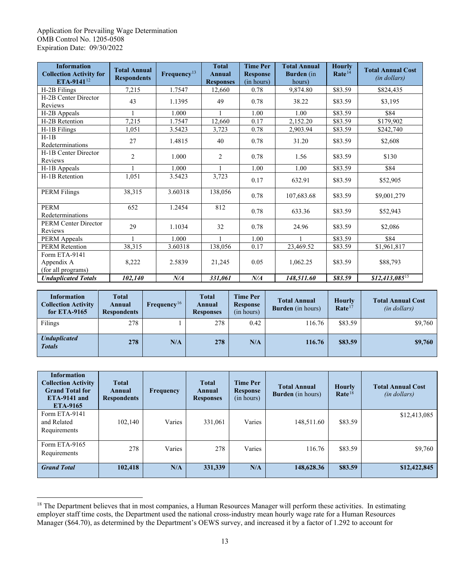<span id="page-12-0"></span>

| <b>Information</b><br><b>Collection Activity for</b><br>ETA-9141 <sup>12</sup> | <b>Total Annual</b><br><b>Respondents</b> | Frequency <sup>13</sup> | <b>Total</b><br><b>Annual</b><br><b>Responses</b> | <b>Time Per</b><br><b>Response</b><br>(in hours) | <b>Total Annual</b><br><b>Burden</b> (in<br>hours) | <b>Hourly</b><br>Rate <sup>14</sup> | <b>Total Annual Cost</b><br>(in dollars) |
|--------------------------------------------------------------------------------|-------------------------------------------|-------------------------|---------------------------------------------------|--------------------------------------------------|----------------------------------------------------|-------------------------------------|------------------------------------------|
| H-2B Filings                                                                   | 7,215                                     | 1.7547                  | 12,660                                            | 0.78                                             | 9,874.80                                           | \$83.59                             | \$824,435                                |
| H-2B Center Director<br>Reviews                                                | 43                                        | 1.1395                  | 49                                                | 0.78                                             | 38.22                                              | \$83.59                             | \$3,195                                  |
| H-2B Appeals                                                                   |                                           | 1.000                   |                                                   | 1.00                                             | 1.00                                               | \$83.59                             | \$84                                     |
| H-2B Retention                                                                 | 7,215                                     | 1.7547                  | 12,660                                            | 0.17                                             | 2,152.20                                           | \$83.59                             | \$179,902                                |
| H-1B Filings                                                                   | 1,051                                     | 3.5423                  | 3,723                                             | 0.78                                             | 2,903.94                                           | \$83.59                             | \$242,740                                |
| $H-1B$<br>Redeterminations                                                     | 27                                        | 1.4815                  | 40                                                | 0.78                                             | 31.20                                              | \$83.59                             | \$2,608                                  |
| H-1B Center Director<br>Reviews                                                | $\overline{2}$                            | 1.000                   | $\overline{2}$                                    | 0.78                                             | 1.56                                               | \$83.59                             | \$130                                    |
| H-1B Appeals                                                                   |                                           | 1.000                   |                                                   | 1.00                                             | 1.00                                               | \$83.59                             | \$84                                     |
| H-1B Retention                                                                 | 1,051                                     | 3.5423                  | 3,723                                             | 0.17                                             | 632.91                                             | \$83.59                             | \$52,905                                 |
| <b>PERM Filings</b>                                                            | 38,315                                    | 3.60318                 | 138,056                                           | 0.78                                             | 107,683.68                                         | \$83.59                             | \$9,001,279                              |
| PERM<br>Redeterminations                                                       | 652                                       | 1.2454                  | 812                                               | 0.78                                             | 633.36                                             | \$83.59                             | \$52,943                                 |
| <b>PERM Center Director</b><br>Reviews                                         | 29                                        | 1.1034                  | 32                                                | 0.78                                             | 24.96                                              | \$83.59                             | \$2,086                                  |
| PERM Appeals                                                                   | $\mathbf{1}$                              | 1.000                   |                                                   | 1.00                                             |                                                    | \$83.59                             | \$84                                     |
| <b>PERM</b> Retention                                                          | 38,315                                    | 3.60318                 | 138,056                                           | 0.17                                             | 23,469.52                                          | \$83.59                             | \$1,961,817                              |
| Form ETA-9141<br>Appendix A<br>(for all programs)                              | 8,222                                     | 2.5839                  | 21,245                                            | 0.05                                             | 1,062.25                                           | \$83.59                             | \$88,793                                 |
| <b>Unduplicated Totals</b>                                                     | 102,140                                   | $N\!/\!A$               | 331,061                                           | $N\!/\!A$                                        | 148,511.60                                         | \$83.59                             | $$12,413,085$ <sup>15</sup>              |

| <b>Information</b><br><b>Collection Activity</b><br>for $ETA-9165$ | <b>Total</b><br>Annual<br><b>Respondents</b> | Frequency <sup>16</sup> | <b>Total</b><br>Annual<br><b>Responses</b> | Time Per<br>Response<br>(in hours) | <b>Total Annual</b><br><b>Burden</b> (in hours) | Hourly<br>Rate <sup>17</sup> | <b>Total Annual Cost</b><br>(in dollars) |
|--------------------------------------------------------------------|----------------------------------------------|-------------------------|--------------------------------------------|------------------------------------|-------------------------------------------------|------------------------------|------------------------------------------|
| Filings                                                            | 278                                          |                         | 278                                        | 0.42                               | 116.76                                          | \$83.59                      | \$9,760                                  |
| <b>Unduplicated</b><br><b>Totals</b>                               | 278                                          | N/A                     | 278                                        | N/A                                | 116.76                                          | \$83.59                      | \$9,760                                  |

<span id="page-12-3"></span><span id="page-12-2"></span><span id="page-12-1"></span>

| <b>Information</b><br><b>Collection Activity</b><br><b>Grand Total for</b><br>$ETA-9141$ and<br>ETA-9165 | <b>Total</b><br>Annual<br><b>Respondents</b> | <b>Frequency</b> | <b>Total</b><br>Annual<br><b>Responses</b> | <b>Time Per</b><br><b>Response</b><br>(in hours) | <b>Total Annual</b><br><b>Burden</b> (in hours) | <b>Hourly</b><br>Rate <sup>18</sup> | <b>Total Annual Cost</b><br>( <i>in dollars</i> ) |
|----------------------------------------------------------------------------------------------------------|----------------------------------------------|------------------|--------------------------------------------|--------------------------------------------------|-------------------------------------------------|-------------------------------------|---------------------------------------------------|
| Form ETA-9141<br>and Related<br>Requirements                                                             | 102,140                                      | Varies           | 331,061                                    | Varies                                           | 148,511.60                                      | \$83.59                             | \$12,413,085                                      |
| Form ETA-9165<br>Requirements                                                                            | 278                                          | Varies           | 278                                        | Varies                                           | 116.76                                          | \$83.59                             | \$9,760                                           |
| <b>Grand Total</b>                                                                                       | 102,418                                      | N/A              | 331,339                                    | N/A                                              | 148,628.36                                      | \$83.59                             | \$12,422,845                                      |

<span id="page-12-6"></span><span id="page-12-5"></span><span id="page-12-4"></span><sup>&</sup>lt;sup>18</sup> The Department believes that in most companies, a Human Resources Manager will perform these activities. In estimating employer staff time costs, the Department used the national cross-industry mean hourly wage rate for a Human Resources Manager (\$64.70), as determined by the Department's OEWS survey, and increased it by a factor of 1.292 to account for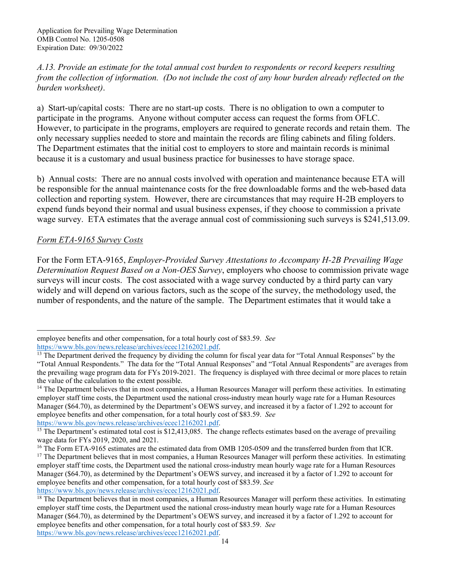*A.13. Provide an estimate for the total annual cost burden to respondents or record keepers resulting from the collection of information. (Do not include the cost of any hour burden already reflected on the burden worksheet)*.

a) Start-up/capital costs: There are no start-up costs. There is no obligation to own a computer to participate in the programs. Anyone without computer access can request the forms from OFLC. However, to participate in the programs, employers are required to generate records and retain them. The only necessary supplies needed to store and maintain the records are filing cabinets and filing folders. The Department estimates that the initial cost to employers to store and maintain records is minimal because it is a customary and usual business practice for businesses to have storage space.

b) Annual costs: There are no annual costs involved with operation and maintenance because ETA will be responsible for the annual maintenance costs for the free downloadable forms and the web-based data collection and reporting system. However, there are circumstances that may require H-2B employers to expend funds beyond their normal and usual business expenses, if they choose to commission a private wage survey. ETA estimates that the average annual cost of commissioning such surveys is \$241,513.09.

### *Form ETA-9165 Survey Costs*

For the Form ETA-9165, *Employer-Provided Survey Attestations to Accompany H-2B Prevailing Wage Determination Request Based on a Non-OES Survey*, employers who choose to commission private wage surveys will incur costs. The cost associated with a wage survey conducted by a third party can vary widely and will depend on various factors, such as the scope of the survey, the methodology used, the number of respondents, and the nature of the sample. The Department estimates that it would take a

[https://www.bls.gov/news.release/archives/ecec12162021.pdf.](https://www.bls.gov/news.release/archives/ecec12162021.pdf)<br><sup>15</sup> The Department's estimated total cost is \$12,413,085. The change reflects estimates based on the average of prevailing wage data for FYs 2019, 2020, and 2021.<br><sup>16</sup> The Form ETA-9165 estimates are the estimated data from OMB 1205-0509 and the transferred burden from that ICR.

employee benefits and other compensation, for a total hourly cost of \$83.59. *See* 

[https://www.bls.gov/news.release/archives/ecec12162021.pdf.](https://www.bls.gov/news.release/archives/ecec12162021.pdf)<br><sup>13</sup> The Department derived the frequency by dividing the column for fiscal year data for "Total Annual Responses" by the "Total Annual Respondents." The data for the "Total Annual Responses" and "Total Annual Respondents" are averages from the prevailing wage program data for FYs 2019-2021. The frequency is displayed with three decimal or more places to retain the value of the calculation to the extent possible.

 $14$  The Department believes that in most companies, a Human Resources Manager will perform these activities. In estimating employer staff time costs, the Department used the national cross-industry mean hourly wage rate for a Human Resources Manager (\$64.70), as determined by the Department's OEWS survey, and increased it by a factor of 1.292 to account for employee benefits and other compensation, for a total hourly cost of \$83.59. *See* 

<sup>&</sup>lt;sup>17</sup> The Department believes that in most companies, a Human Resources Manager will perform these activities. In estimating employer staff time costs, the Department used the national cross-industry mean hourly wage rate for a Human Resources Manager (\$64.70), as determined by the Department's OEWS survey, and increased it by a factor of 1.292 to account for employee benefits and other compensation, for a total hourly cost of \$83.59. *See* 

[https://www.bls.gov/news.release/archives/ecec12162021.pdf.](https://www.bls.gov/news.release/archives/ecec12162021.pdf)<br><sup>18</sup> The Department believes that in most companies, a Human Resources Manager will perform these activities. In estimating employer staff time costs, the Department used the national cross-industry mean hourly wage rate for a Human Resources Manager (\$64.70), as determined by the Department's OEWS survey, and increased it by a factor of 1.292 to account for employee benefits and other compensation, for a total hourly cost of \$83.59. *See*  [https://www.bls.gov/news.release/archives/ecec12162021.pdf.](https://www.bls.gov/news.release/archives/ecec12162021.pdf)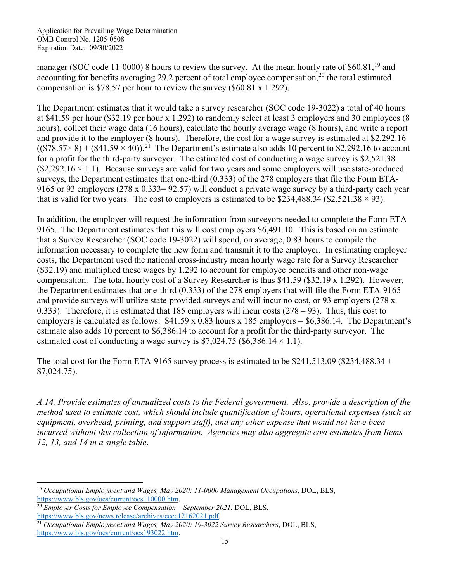manager (SOC code 11-0000) 8 hours to review the survey. At the mean hourly rate of \$60.81,<sup>19</sup> and accounting for benefits averaging 29.2 percent of total employee compensation,<sup>[20](#page-14-1)</sup> the total estimated compensation is \$78.57 per hour to review the survey (\$60.81 x 1.292).

The Department estimates that it would take a survey researcher (SOC code 19-3022) a total of 40 hours at \$41.59 per hour (\$32.19 per hour x 1.292) to randomly select at least 3 employers and 30 employees (8 hours), collect their wage data (16 hours), calculate the hourly average wage (8 hours), and write a report and provide it to the employer (8 hours). Therefore, the cost for a wage survey is estimated at \$2,292.16  $((\$78.57\times 8) + (\$41.59\times 40))$ .<sup>[21](#page-14-2)</sup> The Department's estimate also adds 10 percent to \$2,292.16 to account for a profit for the third-party surveyor. The estimated cost of conducting a wage survey is \$2,521.38  $(\$2,292.16 \times 1.1)$ . Because surveys are valid for two years and some employers will use state-produced surveys, the Department estimates that one-third (0.333) of the 278 employers that file the Form ETA-9165 or 93 employers (278 x 0.333= 92.57) will conduct a private wage survey by a third-party each year that is valid for two years. The cost to employers is estimated to be \$234,488.34 (\$2,521.38  $\times$  93).

In addition, the employer will request the information from surveyors needed to complete the Form ETA-9165. The Department estimates that this will cost employers \$6,491.10. This is based on an estimate that a Survey Researcher (SOC code 19-3022) will spend, on average, 0.83 hours to compile the information necessary to complete the new form and transmit it to the employer. In estimating employer costs, the Department used the national cross-industry mean hourly wage rate for a Survey Researcher (\$32.19) and multiplied these wages by 1.292 to account for employee benefits and other non-wage compensation. The total hourly cost of a Survey Researcher is thus \$41.59 (\$32.19 x 1.292). However, the Department estimates that one-third (0.333) of the 278 employers that will file the Form ETA-9165 and provide surveys will utilize state-provided surveys and will incur no cost, or 93 employers (278 x 0.333). Therefore, it is estimated that 185 employers will incur costs (278 – 93). Thus, this cost to employers is calculated as follows:  $$41.59 \times 0.83$  hours x 185 employers =  $$6,386.14$ . The Department's estimate also adds 10 percent to \$6,386.14 to account for a profit for the third-party surveyor. The estimated cost of conducting a wage survey is  $$7,024.75$  (\$6,386.14  $\times$  1.1).

The total cost for the Form ETA-9165 survey process is estimated to be \$241,513.09 (\$234,488.34 + \$7,024.75).

*A.14. Provide estimates of annualized costs to the Federal government. Also, provide a description of the method used to estimate cost, which should include quantification of hours, operational expenses (such as equipment, overhead, printing, and support staff), and any other expense that would not have been incurred without this collection of information. Agencies may also aggregate cost estimates from Items 12, 13, and 14 in a single table*.

<span id="page-14-0"></span><sup>19</sup> *Occupational Employment and Wages, May 2020: 11-0000 Management Occupations*, DOL, BLS, [https://www.bls.gov/oes/current/oes110000.htm.](https://www.bls.gov/oes/current/oes110000.htm) 20 *Employer Costs for Employee Compensation – September <sup>2021</sup>*, DOL, BLS,

<span id="page-14-2"></span><span id="page-14-1"></span>[https://www.bls.gov/news.release/archives/ecec12162021.pdf.](https://www.bls.gov/news.release/archives/ecec12162021.pdf) 21 *Occupational Employment and Wages, May 2020: 19-3022 Survey Researchers*, DOL, BLS, [https://www.bls.gov/oes/current/oes193022.htm.](https://www.bls.gov/oes/current/oes193022.htm)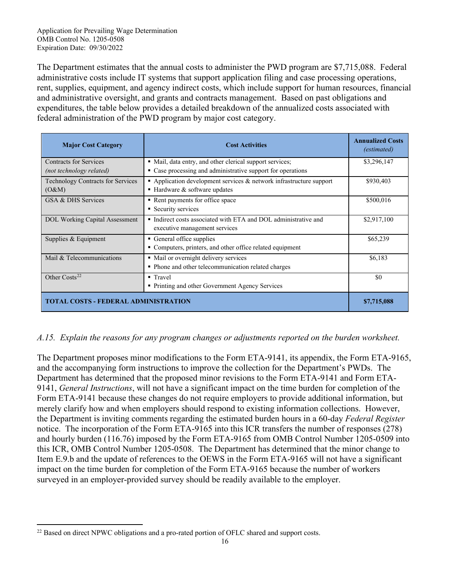The Department estimates that the annual costs to administer the PWD program are \$7,715,088. Federal administrative costs include IT systems that support application filing and case processing operations, rent, supplies, equipment, and agency indirect costs, which include support for human resources, financial and administrative oversight, and grants and contracts management. Based on past obligations and expenditures, the table below provides a detailed breakdown of the annualized costs associated with federal administration of the PWD program by major cost category.

| <b>Major Cost Category</b>                         | <b>Cost Activities</b>                                                                                                  | <b>Annualized Costs</b><br><i>(estimated)</i> |
|----------------------------------------------------|-------------------------------------------------------------------------------------------------------------------------|-----------------------------------------------|
| Contracts for Services<br>(not technology related) | • Mail, data entry, and other clerical support services;<br>• Case processing and administrative support for operations | \$3,296,147                                   |
| <b>Technology Contracts for Services</b><br>(O&M)  | Application development services $&$ network infrastructure support<br>$\blacksquare$ Hardware & software updates       | \$930,403                                     |
| GSA & DHS Services                                 | • Rent payments for office space<br>• Security services                                                                 | \$500,016                                     |
| DOL Working Capital Assessment                     | • Indirect costs associated with ETA and DOL administrative and<br>executive management services                        | \$2,917,100                                   |
| Supplies & Equipment                               | General office supplies<br>• Computers, printers, and other office related equipment                                    | \$65,239                                      |
| Mail & Telecommunications                          | • Mail or overnight delivery services<br>• Phone and other telecommunication related charges                            | \$6,183                                       |
| Other $Costs22$                                    | $\blacksquare$ Travel<br>• Printing and other Government Agency Services                                                | \$0                                           |
| <b>TOTAL COSTS - FEDERAL ADMINISTRATION</b>        |                                                                                                                         | \$7,715,088                                   |

### *A.15. Explain the reasons for any program changes or adjustments reported on the burden worksheet.*

The Department proposes minor modifications to the Form ETA-9141, its appendix, the Form ETA-9165, and the accompanying form instructions to improve the collection for the Department's PWDs. The Department has determined that the proposed minor revisions to the Form ETA-9141 and Form ETA-9141, *General Instructions*, will not have a significant impact on the time burden for completion of the Form ETA-9141 because these changes do not require employers to provide additional information, but merely clarify how and when employers should respond to existing information collections. However, the Department is inviting comments regarding the estimated burden hours in a 60-day *Federal Register* notice. The incorporation of the Form ETA-9165 into this ICR transfers the number of responses (278) and hourly burden (116.76) imposed by the Form ETA-9165 from OMB Control Number 1205-0509 into this ICR, OMB Control Number 1205-0508. The Department has determined that the minor change to Item E.9.b and the update of references to the OEWS in the Form ETA-9165 will not have a significant impact on the time burden for completion of the Form ETA-9165 because the number of workers surveyed in an employer-provided survey should be readily available to the employer.

<span id="page-15-0"></span><sup>&</sup>lt;sup>22</sup> Based on direct NPWC obligations and a pro-rated portion of OFLC shared and support costs.